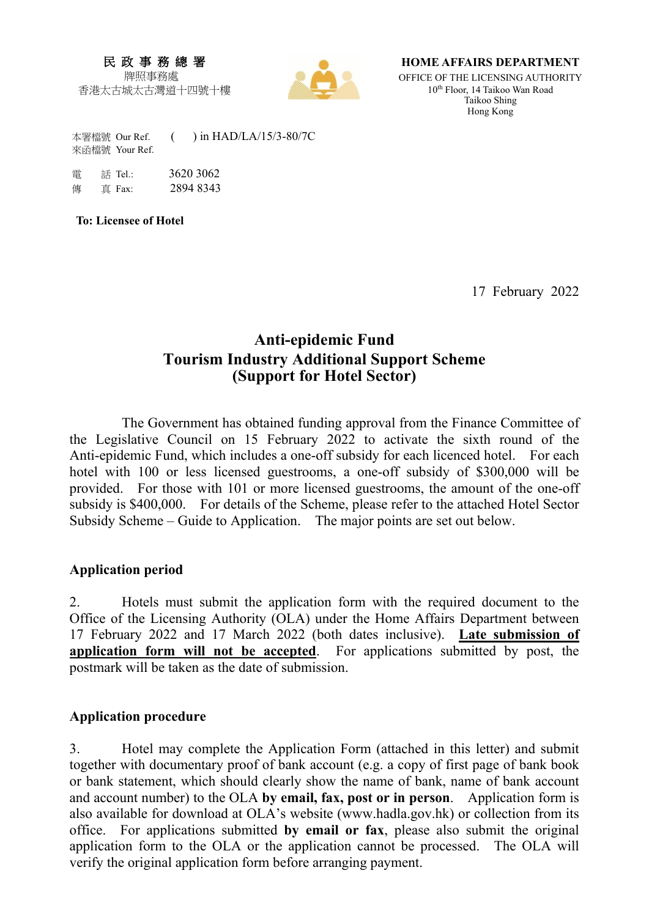#### 民 政 事 務 總 署 牌照事務處

香港太古城太古灣道十四號十樓



**HOME AFFAIRS DEPARTMENT**

OFFICE OF THE LICENSING AUTHORITY 10th Floor, 14 Taikoo Wan Road Taikoo Shing Hong Kong

 本署檔號 Our Ref. ( ) in HAD/LA/15/3-80/7C 來函檔號 Your Ref.

 電 話 Tel.: 3620 3062 傳 直 Fax: 2894 8343

**To: Licensee of Hotel** 

17 February 2022

## **Anti-epidemic Fund Tourism Industry Additional Support Scheme (Support for Hotel Sector)**

The Government has obtained funding approval from the Finance Committee of the Legislative Council on 15 February 2022 to activate the sixth round of the Anti-epidemic Fund, which includes a one-off subsidy for each licenced hotel. For each hotel with 100 or less licensed guestrooms, a one-off subsidy of \$300,000 will be provided. For those with 101 or more licensed guestrooms, the amount of the one-off subsidy is \$400,000. For details of the Scheme, please refer to the attached Hotel Sector Subsidy Scheme – Guide to Application. The major points are set out below.

#### **Application period**

2. Hotels must submit the application form with the required document to the Office of the Licensing Authority (OLA) under the Home Affairs Department between 17 February 2022 and 17 March 2022 (both dates inclusive). **Late submission of application form will not be accepted**. For applications submitted by post, the postmark will be taken as the date of submission.

#### **Application procedure**

3. Hotel may complete the Application Form (attached in this letter) and submit together with documentary proof of bank account (e.g. a copy of first page of bank book or bank statement, which should clearly show the name of bank, name of bank account and account number) to the OLA **by email, fax, post or in person**. Application form is also available for download at OLA's website (www.hadla.gov.hk) or collection from its office. For applications submitted **by email or fax**, please also submit the original application form to the OLA or the application cannot be processed. The OLA will verify the original application form before arranging payment.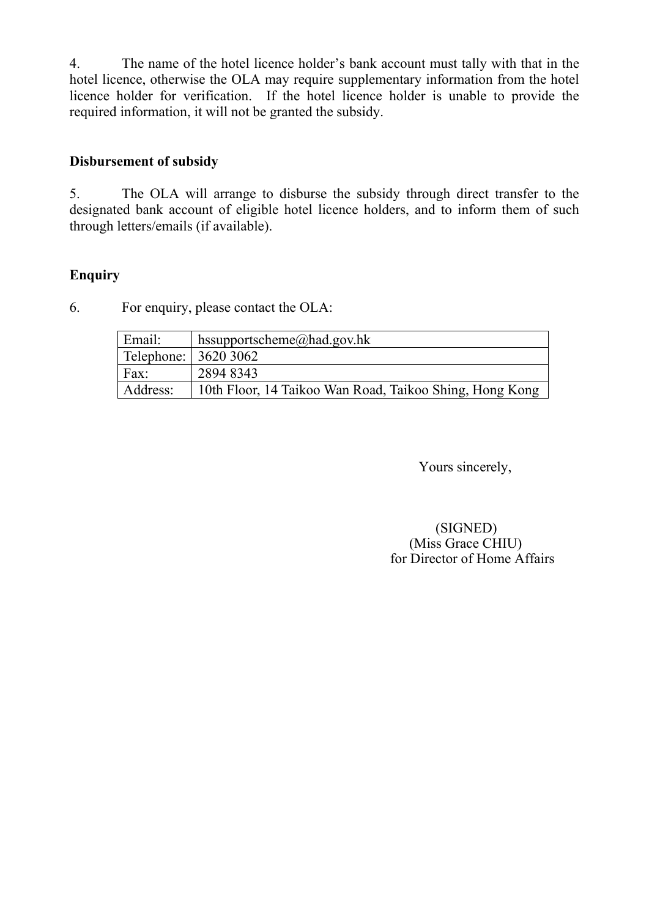4. The name of the hotel licence holder's bank account must tally with that in the hotel licence, otherwise the OLA may require supplementary information from the hotel licence holder for verification. If the hotel licence holder is unable to provide the required information, it will not be granted the subsidy.

### **Disbursement of subsidy**

5. The OLA will arrange to disburse the subsidy through direct transfer to the designated bank account of eligible hotel licence holders, and to inform them of such through letters/emails (if available).

### **Enquiry**

6. For enquiry, please contact the OLA:

| Email:                 | hssupportscheme@had.gov.hk                              |  |
|------------------------|---------------------------------------------------------|--|
| Telephone:   3620 3062 |                                                         |  |
| Fax:                   | 2894 8343                                               |  |
| Address:               | 10th Floor, 14 Taikoo Wan Road, Taikoo Shing, Hong Kong |  |

Yours sincerely,

(SIGNED) (Miss Grace CHIU) for Director of Home Affairs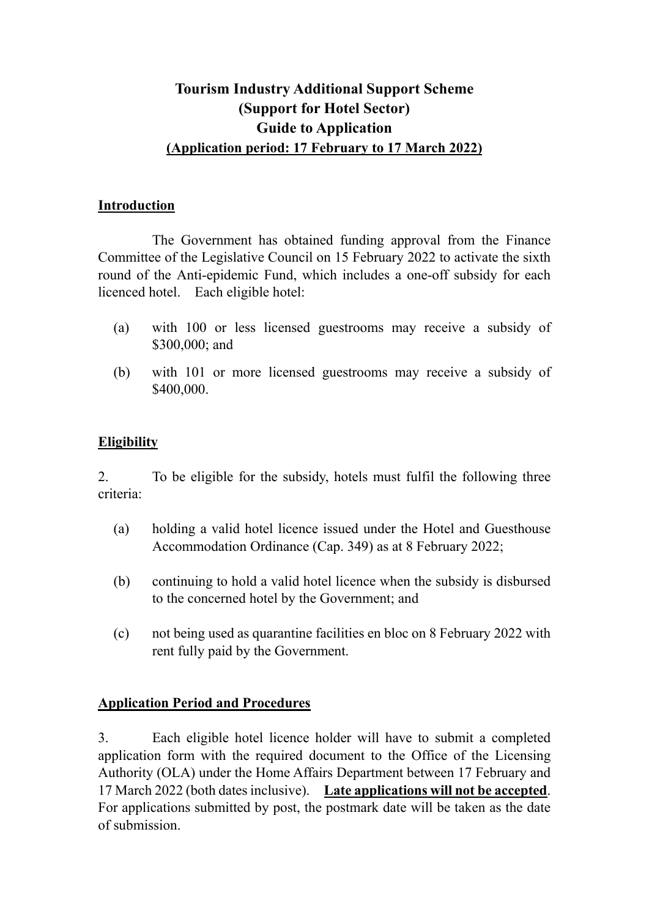## **Tourism Industry Additional Support Scheme (Support for Hotel Sector) Guide to Application (Application period: 17 February to 17 March 2022)**

#### **Introduction**

The Government has obtained funding approval from the Finance Committee of the Legislative Council on 15 February 2022 to activate the sixth round of the Anti-epidemic Fund, which includes a one-off subsidy for each licenced hotel. Each eligible hotel:

- (a) with 100 or less licensed guestrooms may receive a subsidy of \$300,000; and
- (b) with 101 or more licensed guestrooms may receive a subsidy of \$400,000.

## **Eligibility**

2. To be eligible for the subsidy, hotels must fulfil the following three criteria:

- (a) holding a valid hotel licence issued under the Hotel and Guesthouse Accommodation Ordinance (Cap. 349) as at 8 February 2022;
- (b) continuing to hold a valid hotel licence when the subsidy is disbursed to the concerned hotel by the Government; and
- (c) not being used as quarantine facilities en bloc on 8 February 2022 with rent fully paid by the Government.

## **Application Period and Procedures**

3. Each eligible hotel licence holder will have to submit a completed application form with the required document to the Office of the Licensing Authority (OLA) under the Home Affairs Department between 17 February and 17 March 2022 (both dates inclusive). **Late applications will not be accepted**. For applications submitted by post, the postmark date will be taken as the date of submission.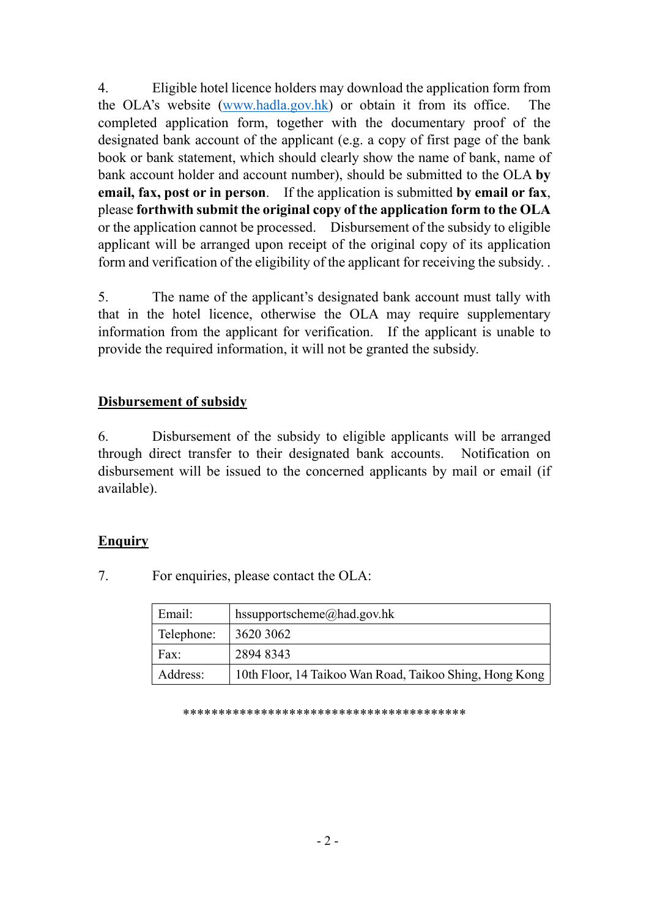4. Eligible hotel licence holders may download the application form from the OLA's website (www.hadla.gov.hk) or obtain it from its office. The completed application form, together with the documentary proof of the designated bank account of the applicant (e.g. a copy of first page of the bank book or bank statement, which should clearly show the name of bank, name of bank account holder and account number), should be submitted to the OLA **by email, fax, post or in person**. If the application is submitted **by email or fax**, please **forthwith submit the original copy of the application form to the OLA** or the application cannot be processed. Disbursement of the subsidy to eligible applicant will be arranged upon receipt of the original copy of its application form and verification of the eligibility of the applicant for receiving the subsidy. .

5. The name of the applicant's designated bank account must tally with that in the hotel licence, otherwise the OLA may require supplementary information from the applicant for verification. If the applicant is unable to provide the required information, it will not be granted the subsidy.

#### **Disbursement of subsidy**

6. Disbursement of the subsidy to eligible applicants will be arranged through direct transfer to their designated bank accounts. Notification on disbursement will be issued to the concerned applicants by mail or email (if available).

#### **Enquiry**

7. For enquiries, please contact the OLA:

| Email:     | hssupportscheme@had.gov.hk                              |  |
|------------|---------------------------------------------------------|--|
| Telephone: | 3620 3062                                               |  |
| Fax:       | 2894 8343                                               |  |
| Address:   | 10th Floor, 14 Taikoo Wan Road, Taikoo Shing, Hong Kong |  |

\*\*\*\*\*\*\*\*\*\*\*\*\*\*\*\*\*\*\*\*\*\*\*\*\*\*\*\*\*\*\*\*\*\*\*\*\*\*\*\*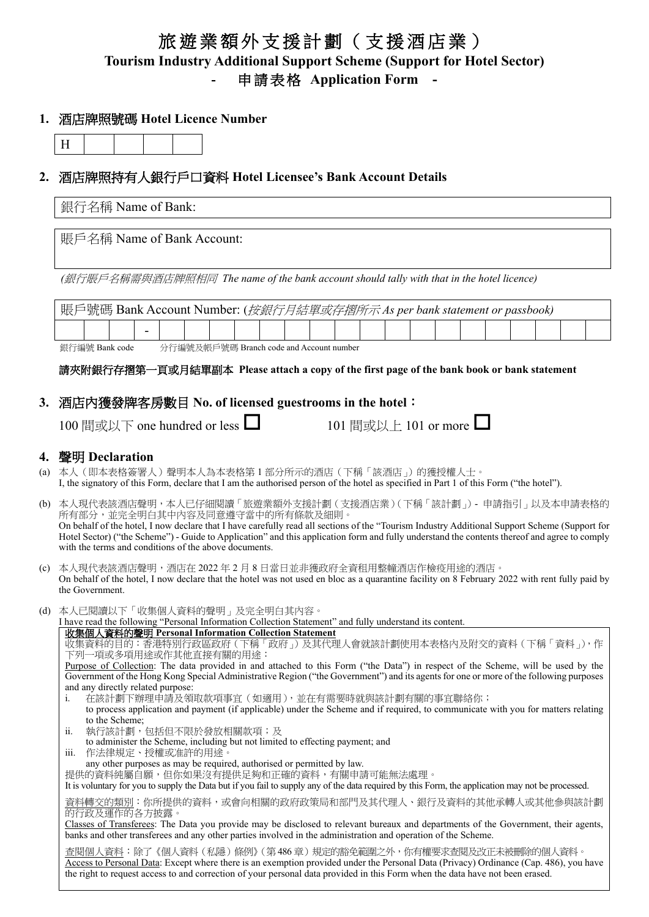## 旅遊業額外支援計劃(支援酒店業) **Tourism Industry Additional Support Scheme (Support for Hotel Sector) -** 申請表格 **Application Form -**

### **1.** 酒店牌照號碼 **Hotel Licence Number**

# **2.** 酒店牌照持有人銀行戶口資料 **Hotel Licensee's Bank Account Details**

|     | 銀行名稱 Name of Bank:                                                                                                                                                                                                                                                                                                                                                                                                                                           |  |  |  |  |  |
|-----|--------------------------------------------------------------------------------------------------------------------------------------------------------------------------------------------------------------------------------------------------------------------------------------------------------------------------------------------------------------------------------------------------------------------------------------------------------------|--|--|--|--|--|
|     | 賬戶名稱 Name of Bank Account:<br>(銀行賬戶名稱需與酒店牌照相同 The name of the bank account should tally with that in the hotel licence)<br>賬戶號碼 Bank Account Number: (按銀行月結單或存摺所示 As per bank statement or passbook)                                                                                                                                                                                                                                                         |  |  |  |  |  |
|     |                                                                                                                                                                                                                                                                                                                                                                                                                                                              |  |  |  |  |  |
|     |                                                                                                                                                                                                                                                                                                                                                                                                                                                              |  |  |  |  |  |
|     |                                                                                                                                                                                                                                                                                                                                                                                                                                                              |  |  |  |  |  |
|     | 銀行編號 Bank code<br>分行編號及帳戶號碼 Branch code and Account number                                                                                                                                                                                                                                                                                                                                                                                                   |  |  |  |  |  |
|     | 請夾附銀行存摺第一頁或月結單副本 Please attach a copy of the first page of the bank book or bank statement                                                                                                                                                                                                                                                                                                                                                                   |  |  |  |  |  |
|     | 3.酒店內獲發牌客房數目 No. of licensed guestrooms in the hotel:<br>100 間或以下 one hundred or less $\Box$<br>101 間或以上 101 or more <u>L</u>                                                                                                                                                                                                                                                                                                                                |  |  |  |  |  |
|     | 4. 聲明 Declaration                                                                                                                                                                                                                                                                                                                                                                                                                                            |  |  |  |  |  |
|     | (a) 本人(即本表格簽署人)聲明本人為本表格第 1 部分所示的酒店(下稱「該酒店」)的獲授權人士。<br>I, the signatory of this Form, declare that I am the authorised person of the hotel as specified in Part 1 of this Form ("the hotel").                                                                                                                                                                                                                                                                 |  |  |  |  |  |
|     | (b) 本人現代表該酒店聲明,本人已仔細閱讀「旅遊業額外支援計劃(支援酒店業)(下稱「該計劃」) - 申請指引」以及本申請表格的<br>所有部分,並完全明白其中內容及同意遵守當中的所有條款及細則。<br>On behalf of the hotel, I now declare that I have carefully read all sections of the "Tourism Industry Additional Support Scheme (Support for<br>Hotel Sector) ("the Scheme") - Guide to Application" and this application form and fully understand the contents thereof and agree to comply<br>with the terms and conditions of the above documents. |  |  |  |  |  |
|     | (c) 本人現代表該酒店聲明,酒店在 2022 年 2 月 8 日當日並非獲政府全資租用整幢酒店作檢疫用途的酒店。<br>On behalf of the hotel, I now declare that the hotel was not used en bloc as a quarantine facility on 8 February 2022 with rent fully paid by<br>the Government.                                                                                                                                                                                                                                |  |  |  |  |  |
| (d) | 本人已閱讀以下「收集個人資料的聲明」及完全明白其內容。                                                                                                                                                                                                                                                                                                                                                                                                                                  |  |  |  |  |  |
|     | I have read the following "Personal Information Collection Statement" and fully understand its content.<br>收集個人資料的聲明 Personal Information Collection Statement<br>收集資料的目的:香港特別行政區政府(下稱「政府」)及其代理人會就該計劃使用本表格內及附交的資料(下稱「資料」),作<br>下列一項或多項用途或作其他直接有關的用途:                                                                                                                                                                                                         |  |  |  |  |  |
|     | Purpose of Collection: The data provided in and attached to this Form ("the Data") in respect of the Scheme, will be used by the<br>Government of the Hong Kong Special Administrative Region ("the Government") and its agents for one or more of the following purposes<br>and any directly related purpose:                                                                                                                                               |  |  |  |  |  |
|     | 在該計劃下辦理申請及領取款項事宜(如適用),並在有需要時就與該計劃有關的事宜聯絡你;<br>i.<br>to process application and payment (if applicable) under the Scheme and if required, to communicate with you for matters relating                                                                                                                                                                                                                                                                        |  |  |  |  |  |
|     | to the Scheme;<br>執行該計劃,包括但不限於發放相關款項;及<br>ii.<br>to administer the Scheme, including but not limited to effecting payment; and                                                                                                                                                                                                                                                                                                                               |  |  |  |  |  |
|     | 作法律規定、授權或准許的用途。<br>iii.<br>any other purposes as may be required, authorised or permitted by law.                                                                                                                                                                                                                                                                                                                                                            |  |  |  |  |  |
|     | 提供的資料純屬自願,但你如果沒有提供足夠和正確的資料,有關申請可能無法處理。<br>It is voluntary for you to supply the Data but if you fail to supply any of the data required by this Form, the application may not be processed.                                                                                                                                                                                                                                                                  |  |  |  |  |  |
|     | <u>資料轉交的類別</u> :你所提供的資料,或會向相關的政府政策局和部門及其代理人、銀行及資料的其他承轉人或其他參與該計劃<br>的行政及運作的各方披露。                                                                                                                                                                                                                                                                                                                                                                              |  |  |  |  |  |
|     | Classes of Transferees: The Data you provide may be disclosed to relevant bureaux and departments of the Government, their agents,<br>banks and other transferees and any other parties involved in the administration and operation of the Scheme.                                                                                                                                                                                                          |  |  |  |  |  |
|     | 查閱個人資料:除了《個人資料(私隱)條例》(第486 章)規定的豁免範圍之外,你有權要求查閱及改正未被刪除的個人資料。<br>Access to Personal Data: Except where there is an exemption provided under the Personal Data (Privacy) Ordinance (Cap. 486), you have<br>the right to request access to and correction of your personal data provided in this Form when the data have not been erased.                                                                                                                        |  |  |  |  |  |
|     |                                                                                                                                                                                                                                                                                                                                                                                                                                                              |  |  |  |  |  |